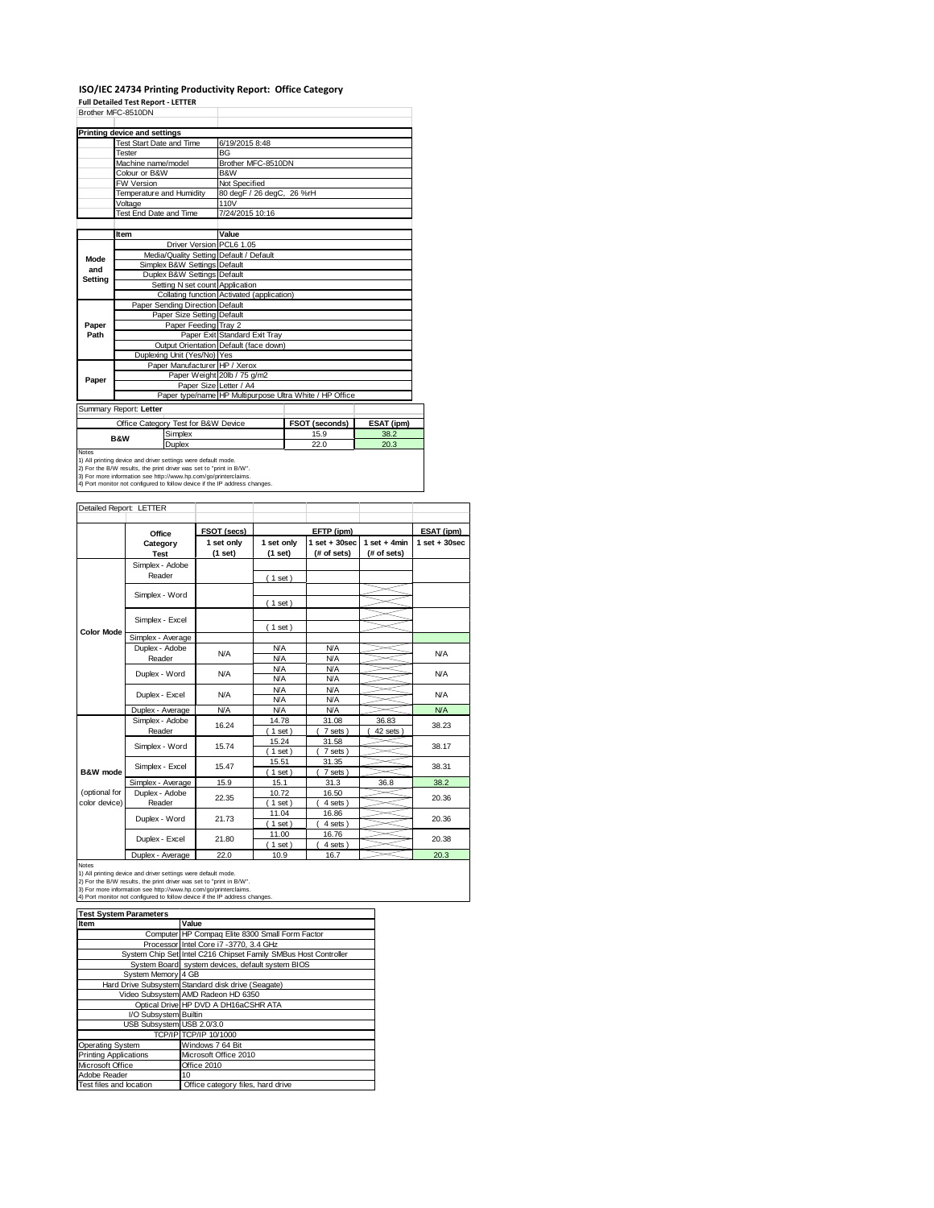#### **ISO/IEC 24734 Printing Productivity Report: Office Category**

**Full Detailed Test Report ‐ LETTER**

| Brother MFC-8510DN |                                                                                                                                      |                                                         |                |            |  |  |  |
|--------------------|--------------------------------------------------------------------------------------------------------------------------------------|---------------------------------------------------------|----------------|------------|--|--|--|
|                    | Printing device and settings                                                                                                         |                                                         |                |            |  |  |  |
|                    | Test Start Date and Time                                                                                                             | 6/19/2015 8:48                                          |                |            |  |  |  |
|                    | Tester                                                                                                                               | <b>BG</b>                                               |                |            |  |  |  |
|                    | Machine name/model                                                                                                                   | Brother MFC-8510DN                                      |                |            |  |  |  |
|                    | Colour or B&W                                                                                                                        | B&W                                                     |                |            |  |  |  |
|                    | <b>FW Version</b>                                                                                                                    | Not Specified                                           |                |            |  |  |  |
|                    | Temperature and Humidity                                                                                                             | 80 degF / 26 degC, 26 %rH                               |                |            |  |  |  |
|                    | Voltage                                                                                                                              | 110V                                                    |                |            |  |  |  |
|                    | Test End Date and Time                                                                                                               | 7/24/2015 10:16                                         |                |            |  |  |  |
|                    |                                                                                                                                      |                                                         |                |            |  |  |  |
|                    | Item                                                                                                                                 | Value                                                   |                |            |  |  |  |
|                    | Driver Version PCL6 1.05                                                                                                             |                                                         |                |            |  |  |  |
| Mode               | Media/Quality Setting Default / Default                                                                                              |                                                         |                |            |  |  |  |
| and                | Simplex B&W Settings Default                                                                                                         |                                                         |                |            |  |  |  |
| Setting            | Duplex B&W Settings Default                                                                                                          |                                                         |                |            |  |  |  |
|                    | Setting N set count Application                                                                                                      |                                                         |                |            |  |  |  |
|                    |                                                                                                                                      | Collating function Activated (application)              |                |            |  |  |  |
|                    | Paper Sending Direction Default                                                                                                      |                                                         |                |            |  |  |  |
|                    | Paper Size Setting Default                                                                                                           |                                                         |                |            |  |  |  |
| Paper              | Paper Feeding Tray 2                                                                                                                 |                                                         |                |            |  |  |  |
| Path               |                                                                                                                                      | Paper Exit Standard Exit Tray                           |                |            |  |  |  |
|                    |                                                                                                                                      | Output Orientation Default (face down)                  |                |            |  |  |  |
|                    | Duplexing Unit (Yes/No) Yes                                                                                                          |                                                         |                |            |  |  |  |
|                    | Paper Manufacturer HP / Xerox                                                                                                        |                                                         |                |            |  |  |  |
| Paper              |                                                                                                                                      | Paper Weight 20lb / 75 g/m2                             |                |            |  |  |  |
|                    | Paper Size Letter / A4                                                                                                               |                                                         |                |            |  |  |  |
|                    |                                                                                                                                      | Paper type/name HP Multipurpose Ultra White / HP Office |                |            |  |  |  |
|                    | Summary Report: Letter                                                                                                               |                                                         |                |            |  |  |  |
|                    | Office Category Test for B&W Device                                                                                                  |                                                         | FSOT (seconds) | ESAT (ipm) |  |  |  |
|                    | Simplex<br><b>B&amp;W</b>                                                                                                            |                                                         | 15.9           | 38.2       |  |  |  |
|                    | Duplex                                                                                                                               |                                                         | 22.0           | 20.3       |  |  |  |
| <b>Notes</b>       |                                                                                                                                      |                                                         |                |            |  |  |  |
|                    | 1) All printing device and driver settings were default mode.<br>2) For the B/W results, the print driver was set to "print in B/W". |                                                         |                |            |  |  |  |
|                    | 3) For more information see http://www.hp.com/go/printerclaims.                                                                      |                                                         |                |            |  |  |  |
|                    | 4) Port monitor not configured to follow device if the IP address changes.                                                           |                                                         |                |            |  |  |  |

| Detailed Report: LETTER        |                           |                       |                          |                                  |                               |                  |
|--------------------------------|---------------------------|-----------------------|--------------------------|----------------------------------|-------------------------------|------------------|
|                                | Office                    | FSOT (secs)           |                          | EFTP (ipm)                       | ESAT (ipm)                    |                  |
|                                | Category<br><b>Test</b>   | 1 set only<br>(1 set) | 1 set only<br>(1 set)    | $1$ set $+30$ sec<br>(# of sets) | $1$ set + 4min<br>(# of sets) | $1 set + 30 sec$ |
|                                | Simplex - Adobe<br>Reader |                       | (1 set)                  |                                  |                               |                  |
|                                | Simplex - Word            |                       | (1 set)                  |                                  |                               |                  |
|                                | Simplex - Excel           |                       | (1 set)                  |                                  |                               |                  |
| <b>Color Mode</b>              | Simplex - Average         |                       |                          |                                  |                               |                  |
|                                | Duplex - Adobe<br>Reader  | N/A                   | <b>N/A</b><br><b>N/A</b> | <b>N/A</b><br><b>N/A</b>         |                               | <b>N/A</b>       |
|                                | Duplex - Word             | <b>N/A</b>            | <b>N/A</b><br><b>N/A</b> | <b>N/A</b><br><b>N/A</b>         |                               | <b>N/A</b>       |
|                                | Duplex - Excel            | N/A                   | <b>N/A</b><br><b>N/A</b> | <b>N/A</b><br><b>N/A</b>         |                               | <b>N/A</b>       |
|                                | Duplex - Average          | <b>N/A</b>            | <b>N/A</b>               | <b>N/A</b>                       |                               | NA               |
|                                | Simplex - Adobe<br>Reader | 16.24                 | 14.78<br>$1$ set)        | 31.08<br>7 sets)                 | 36.83<br>42 sets              | 38.23            |
|                                | Simplex - Word            | 15.74                 | 15.24<br>$1$ set)        | 31.58<br>7 sets)                 |                               | 38.17            |
| B&W mode                       | Simplex - Excel           | 15.47                 | 15.51<br>$1$ set)        | 31.35<br>7 sets)                 |                               | 38.31            |
|                                | Simplex - Average         | 15.9                  | 15.1                     | 31.3                             | 36.8                          | 38.2             |
| (optional for<br>color device) | Duplex - Adobe<br>Reader  | 22.35                 | 10.72<br>$1$ set)        | 16.50<br>4 sets)                 |                               | 20.36            |
|                                | Duplex - Word             | 21.73                 | 11.04<br>$1$ set)        | 16.86<br>4 sets)                 |                               | 20.36            |
|                                | Duplex - Excel            | 21.80                 | 11.00<br>$1$ set)        | 16.76<br>4 sets)                 |                               | 20.38            |
|                                | Dualett Armanan           | 220                   | 400                      | $AC =$                           |                               | 20.2             |

Notes<br>
1) All printing device and driver settings were default mode.<br>
1) All printing device and driver settings were default mode.<br>
2) For the B/W results, the print driver was set to "print in B/W".<br>
3) For more inform

| <b>Test System Parameters</b> |                                                                 |  |  |  |  |  |
|-------------------------------|-----------------------------------------------------------------|--|--|--|--|--|
| Item                          | Value                                                           |  |  |  |  |  |
|                               | Computer HP Compaq Elite 8300 Small Form Factor                 |  |  |  |  |  |
|                               | Processor Intel Core i7 -3770, 3.4 GHz                          |  |  |  |  |  |
|                               | System Chip Set Intel C216 Chipset Family SMBus Host Controller |  |  |  |  |  |
|                               | System Board system devices, default system BIOS                |  |  |  |  |  |
| System Memory 4 GB            |                                                                 |  |  |  |  |  |
|                               | Hard Drive Subsystem Standard disk drive (Seagate)              |  |  |  |  |  |
|                               | Video Subsystem AMD Radeon HD 6350                              |  |  |  |  |  |
|                               | Optical Drive HP DVD A DH16aCSHR ATA                            |  |  |  |  |  |
| I/O Subsystem Builtin         |                                                                 |  |  |  |  |  |
| USB Subsystem USB 2.0/3.0     |                                                                 |  |  |  |  |  |
|                               | TCP/IP TCP/IP 10/1000                                           |  |  |  |  |  |
| Operating System              | Windows 7 64 Bit                                                |  |  |  |  |  |
| <b>Printing Applications</b>  | Microsoft Office 2010                                           |  |  |  |  |  |
| Microsoft Office              | Office 2010                                                     |  |  |  |  |  |
| Adobe Reader                  | 10                                                              |  |  |  |  |  |
| Test files and location       | Office category files, hard drive                               |  |  |  |  |  |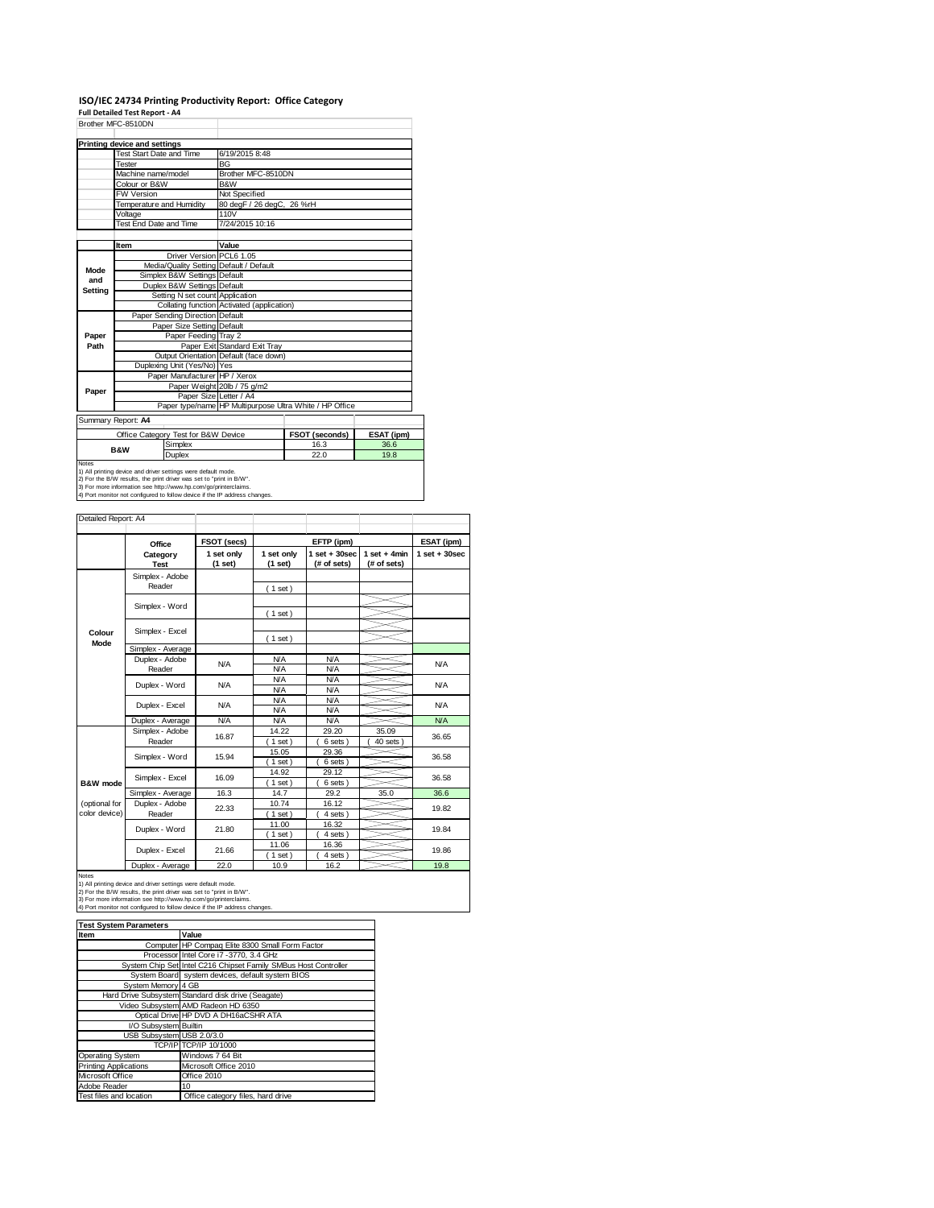# **ISO/IEC 24734 Printing Productivity Report: Office Category Full Detailed Test Report ‐ A4**

|         | Brother MFC-8510DN           |                                                               |                                            |                                                         |            |  |  |  |
|---------|------------------------------|---------------------------------------------------------------|--------------------------------------------|---------------------------------------------------------|------------|--|--|--|
|         | Printing device and settings |                                                               |                                            |                                                         |            |  |  |  |
|         | Test Start Date and Time     |                                                               | 6/19/2015 8:48                             |                                                         |            |  |  |  |
|         | Tester                       |                                                               | <b>BG</b>                                  |                                                         |            |  |  |  |
|         | Machine name/model           |                                                               | Brother MFC-8510DN                         |                                                         |            |  |  |  |
|         | Colour or B&W                |                                                               | <b>B&amp;W</b>                             |                                                         |            |  |  |  |
|         | FW Version                   |                                                               | Not Specified                              |                                                         |            |  |  |  |
|         | Temperature and Humidity     |                                                               | 80 degF / 26 degC, 26 %rH                  |                                                         |            |  |  |  |
|         | Voltage                      |                                                               | 110V                                       |                                                         |            |  |  |  |
|         | Test End Date and Time       |                                                               | 7/24/2015 10:16                            |                                                         |            |  |  |  |
|         |                              |                                                               |                                            |                                                         |            |  |  |  |
|         | Item                         |                                                               | Value                                      |                                                         |            |  |  |  |
|         |                              | Driver Version PCL6 1.05                                      |                                            |                                                         |            |  |  |  |
| Mode    |                              |                                                               | Media/Quality Setting Default / Default    |                                                         |            |  |  |  |
| and     |                              | Simplex B&W Settings Default                                  |                                            |                                                         |            |  |  |  |
| Setting |                              | Duplex B&W Settings Default                                   |                                            |                                                         |            |  |  |  |
|         |                              | Setting N set count Application                               |                                            |                                                         |            |  |  |  |
|         |                              |                                                               | Collating function Activated (application) |                                                         |            |  |  |  |
|         |                              | Paper Sending Direction Default                               |                                            |                                                         |            |  |  |  |
|         |                              | Paper Size Setting Default                                    |                                            |                                                         |            |  |  |  |
| Paper   |                              | Paper Feeding Tray 2                                          |                                            |                                                         |            |  |  |  |
| Path    |                              |                                                               | Paper Exit Standard Exit Tray              |                                                         |            |  |  |  |
|         |                              |                                                               | Output Orientation Default (face down)     |                                                         |            |  |  |  |
|         |                              | Duplexing Unit (Yes/No) Yes                                   |                                            |                                                         |            |  |  |  |
|         |                              | Paper Manufacturer HP / Xerox                                 |                                            |                                                         |            |  |  |  |
| Paper   |                              |                                                               | Paper Weight 20lb / 75 g/m2                |                                                         |            |  |  |  |
|         |                              | Paper Size Letter / A4                                        |                                            |                                                         |            |  |  |  |
|         |                              |                                                               |                                            | Paper type/name HP Multipurpose Ultra White / HP Office |            |  |  |  |
|         | Summary Report: A4           |                                                               |                                            |                                                         |            |  |  |  |
|         |                              | Office Category Test for B&W Device                           |                                            | FSOT (seconds)                                          | ESAT (ipm) |  |  |  |
|         | <b>B&amp;W</b>               | Simplex                                                       |                                            | 16.3                                                    | 36.6       |  |  |  |
|         |                              | Duplex                                                        |                                            | 22.0                                                    | 19.8       |  |  |  |
| Notes   |                              | 1) All printing device and driver settings were default mode. |                                            |                                                         |            |  |  |  |

1) All printing device and driver settings were default mode.<br>2) For the B/W results, the print driver was set to "print in B/W".<br>3) For more information see http://www.hp.com/go/printerclaims.<br>4) Port monitor not configur

|                                |                                   | FSOT (secs)           |                          | ESAT (ipm)                                     |                               |                  |
|--------------------------------|-----------------------------------|-----------------------|--------------------------|------------------------------------------------|-------------------------------|------------------|
|                                | Office<br>Category<br><b>Test</b> | 1 set only<br>(1 set) | 1 set only<br>(1 set)    | EFTP (ipm)<br>$1$ set $+30$ sec<br>(# of sets) | $1$ set + 4min<br>(# of sets) | $1 set + 30 sec$ |
| Colour<br>Mode                 | Simplex - Adobe<br>Reader         |                       | (1 set)                  |                                                |                               |                  |
|                                | Simplex - Word                    |                       | (1 set)                  |                                                |                               |                  |
|                                | Simplex - Excel                   |                       | (1 set)                  |                                                |                               |                  |
|                                | Simplex - Average                 |                       |                          |                                                |                               |                  |
|                                | Duplex - Adobe<br>Reader          | <b>N/A</b>            | <b>N/A</b><br><b>N/A</b> | <b>N/A</b><br><b>N/A</b>                       |                               | <b>N/A</b>       |
|                                | Duplex - Word                     | N/A                   | <b>N/A</b><br><b>N/A</b> | <b>N/A</b><br><b>N/A</b>                       |                               | <b>N/A</b>       |
|                                | Duplex - Excel                    | N/A                   | <b>N/A</b><br><b>N/A</b> | <b>N/A</b><br><b>N/A</b>                       |                               | <b>N/A</b>       |
|                                | Duplex - Average                  | N/A                   | <b>N/A</b>               | <b>N/A</b>                                     |                               | <b>N/A</b>       |
|                                | Simplex - Adobe<br>Reader         | 16.87                 | 14.22<br>$1$ set)        | 29.20<br>6 sets                                | 35.09<br>40 sets              | 36.65            |
|                                | Simplex - Word                    | 15.94                 | 15.05<br>$1$ set)        | 29.36<br>6 sets                                |                               | 36.58            |
| B&W mode                       | Simplex - Excel                   | 16.09                 | 14.92<br>$1$ set)        | 29.12<br>6 sets)                               |                               | 36.58            |
|                                | Simplex - Average                 | 16.3                  | 14.7                     | 29.2                                           | 35.0                          | 36.6             |
| (optional for<br>color device) | Duplex - Adobe<br>Reader          | 22.33                 | 10.74<br>(1 set)         | 16.12<br>4 sets )                              |                               | 19.82            |
|                                | Duplex - Word                     | 21.80                 | 11.00<br>$1$ set)        | 16.32<br>4 sets                                |                               | 19.84            |
|                                | Duplex - Excel                    | 21.66                 | 11.06<br>$1$ set)        | 16.36<br>4 sets                                |                               | 19.86            |
|                                | Duplex - Average                  | 22.0                  | 10.9                     | 16.2                                           |                               | 19.8             |

| <b>Test System Parameters</b> |                                                                 |  |  |  |  |  |
|-------------------------------|-----------------------------------------------------------------|--|--|--|--|--|
| Item                          | Value                                                           |  |  |  |  |  |
|                               | Computer HP Compag Elite 8300 Small Form Factor                 |  |  |  |  |  |
|                               | Processor Intel Core i7 -3770, 3.4 GHz                          |  |  |  |  |  |
|                               | System Chip Set Intel C216 Chipset Family SMBus Host Controller |  |  |  |  |  |
|                               | System Board system devices, default system BIOS                |  |  |  |  |  |
| System Memory 4 GB            |                                                                 |  |  |  |  |  |
|                               | Hard Drive Subsystem Standard disk drive (Seagate)              |  |  |  |  |  |
|                               | Video Subsystem AMD Radeon HD 6350                              |  |  |  |  |  |
|                               | Optical Drive HP DVD A DH16aCSHR ATA                            |  |  |  |  |  |
| I/O Subsystem Builtin         |                                                                 |  |  |  |  |  |
| USB Subsystem USB 2.0/3.0     |                                                                 |  |  |  |  |  |
|                               | TCP/IP TCP/IP 10/1000                                           |  |  |  |  |  |
| <b>Operating System</b>       | Windows 7 64 Bit                                                |  |  |  |  |  |
| <b>Printing Applications</b>  | Microsoft Office 2010                                           |  |  |  |  |  |
| Microsoft Office              | Office 2010                                                     |  |  |  |  |  |
| Adobe Reader                  | 10                                                              |  |  |  |  |  |
| Test files and location       | Office category files, hard drive                               |  |  |  |  |  |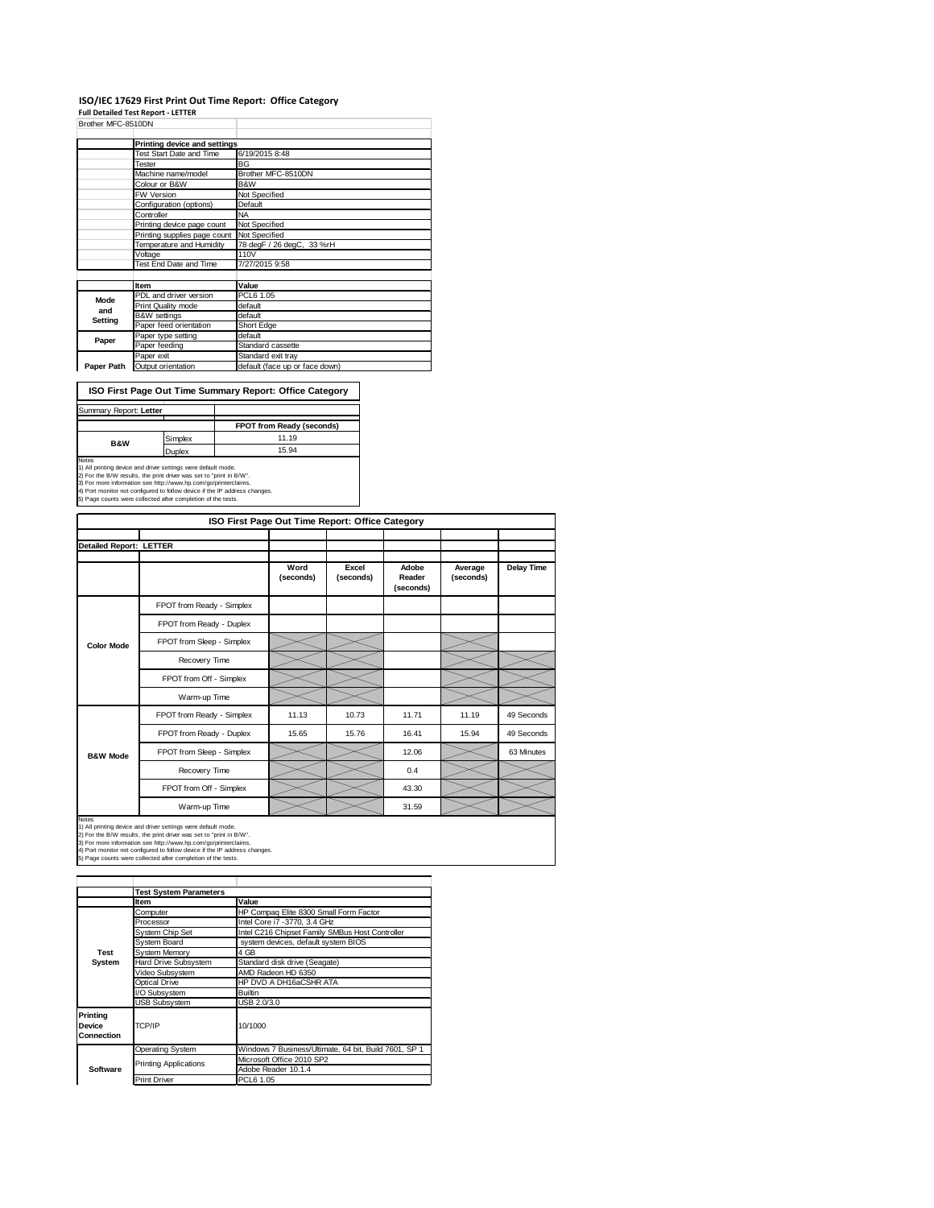#### **ISO/IEC 17629 First Print Out Time Report: Office Category**

**Full Detailed Test Report ‐ LETTER**

| Brother MFC-8510DN |                              |                                |  |  |  |
|--------------------|------------------------------|--------------------------------|--|--|--|
|                    | Printing device and settings |                                |  |  |  |
|                    | Test Start Date and Time     | 6/19/2015 8:48                 |  |  |  |
|                    | Tester                       | <b>BG</b>                      |  |  |  |
|                    | Machine name/model           | Brother MFC-8510DN             |  |  |  |
|                    | Colour or B&W                | B&W                            |  |  |  |
|                    | <b>FW Version</b>            | Not Specified                  |  |  |  |
|                    | Configuration (options)      | Default                        |  |  |  |
|                    | Controller                   | <b>NA</b>                      |  |  |  |
|                    | Printing device page count   | Not Specified                  |  |  |  |
|                    | Printing supplies page count | Not Specified                  |  |  |  |
|                    | Temperature and Humidity     | 78 degF / 26 degC, 33 %rH      |  |  |  |
|                    | Voltage                      | 110V                           |  |  |  |
|                    | Test End Date and Time       | 7/27/2015 9:58                 |  |  |  |
|                    |                              |                                |  |  |  |
|                    | Item                         | Value                          |  |  |  |
| Mode               | PDL and driver version       | PCL6 1.05                      |  |  |  |
| and                | Print Quality mode           | default                        |  |  |  |
| Setting            | <b>B&amp;W</b> settings      | default                        |  |  |  |
|                    | Paper feed orientation       | <b>Short Edge</b>              |  |  |  |
| Paper              | Paper type setting           | default                        |  |  |  |
|                    | Paper feeding                | Standard cassette              |  |  |  |
|                    | Paper exit                   | Standard exit tray             |  |  |  |
| Paper Path         | Output orientation           | default (face up or face down) |  |  |  |

**ISO First Page Out Time Summary Report: Office Category**

| Summary Report: Letter |         |                                  |
|------------------------|---------|----------------------------------|
|                        |         | <b>FPOT from Ready (seconds)</b> |
| <b>B&amp;W</b>         | Simplex | 11.19                            |
|                        | Duplex  | 15.94                            |
| Notes                  |         |                                  |

Notes<br>1) All printing device and driver settings were default mode.<br>2) For the B/W results, the print driver was set to "print in B/W".<br>3) For more information see http://www.hp.com/go/printerclaims.<br>4) Port monitor not co

|                                | ISO First Page Out Time Report: Office Category |                   |                    |                              |                      |                   |  |  |  |
|--------------------------------|-------------------------------------------------|-------------------|--------------------|------------------------------|----------------------|-------------------|--|--|--|
|                                |                                                 |                   |                    |                              |                      |                   |  |  |  |
| <b>Detailed Report: LETTER</b> |                                                 |                   |                    |                              |                      |                   |  |  |  |
|                                |                                                 | Word<br>(seconds) | Excel<br>(seconds) | Adobe<br>Reader<br>(seconds) | Average<br>(seconds) | <b>Delay Time</b> |  |  |  |
|                                | FPOT from Ready - Simplex                       |                   |                    |                              |                      |                   |  |  |  |
| <b>Color Mode</b>              | FPOT from Ready - Duplex                        |                   |                    |                              |                      |                   |  |  |  |
|                                | FPOT from Sleep - Simplex                       |                   |                    |                              |                      |                   |  |  |  |
|                                | Recovery Time                                   |                   |                    |                              |                      |                   |  |  |  |
|                                | FPOT from Off - Simplex                         |                   |                    |                              |                      |                   |  |  |  |
|                                | Warm-up Time                                    |                   |                    |                              |                      |                   |  |  |  |
|                                | FPOT from Ready - Simplex                       | 11.13             | 10.73              | 11.71                        | 11.19                | 49 Seconds        |  |  |  |
|                                | FPOT from Ready - Duplex                        | 15.65             | 15.76              | 16.41                        | 15.94                | 49 Seconds        |  |  |  |
| <b>B&amp;W Mode</b>            | FPOT from Sleep - Simplex                       |                   |                    | 12.06                        |                      | 63 Minutes        |  |  |  |
|                                | Recovery Time                                   |                   |                    | 0.4                          |                      |                   |  |  |  |
|                                | FPOT from Off - Simplex                         |                   |                    | 43.30                        |                      |                   |  |  |  |
|                                | Warm-up Time                                    |                   |                    | 31.59                        |                      |                   |  |  |  |

Warm-up Time<br>
1) All printing device and driver settings were default mode.<br>
2) For the BAW results, the print driver was set to "print in BAW".<br>
3) For more information see http://www.hp.com/gop/printerclaims.<br>
4) Port mo **Item Value**<br> **Computer HP Computer** Computer **HP Compaq Elite 8300 Small Form Factor**<br>
Processor **Intel Core i7 -3770, 3.4 GHz** System Chip Set Intel C216 Chipset Family SMBus Host Controller<br>System Board system devices, default system BIOS System Memory<br>Hard Drive Subsystem Stand Hard Drive Subsystem Standard disk drive (Seagate)<br>Video Subsystem AMD Radeon HD 6350 Video Subsystem AMD Radeon HD 6350 Optical Drive HP DVD A DH16aCSHR ATA /O Subsystem SB 2.0/3.0 Operating System Windows 7 Business/Ultimate, 64 bit, Build 7601, SP 1 Microsoft Office 2010 SP2 Adobe Reader 10.1.4<br>Print Driver PCL6 1.05 **Test System Software Test System Parameters Printing Device Connection** TCP/IP 10/1000 Printing Applications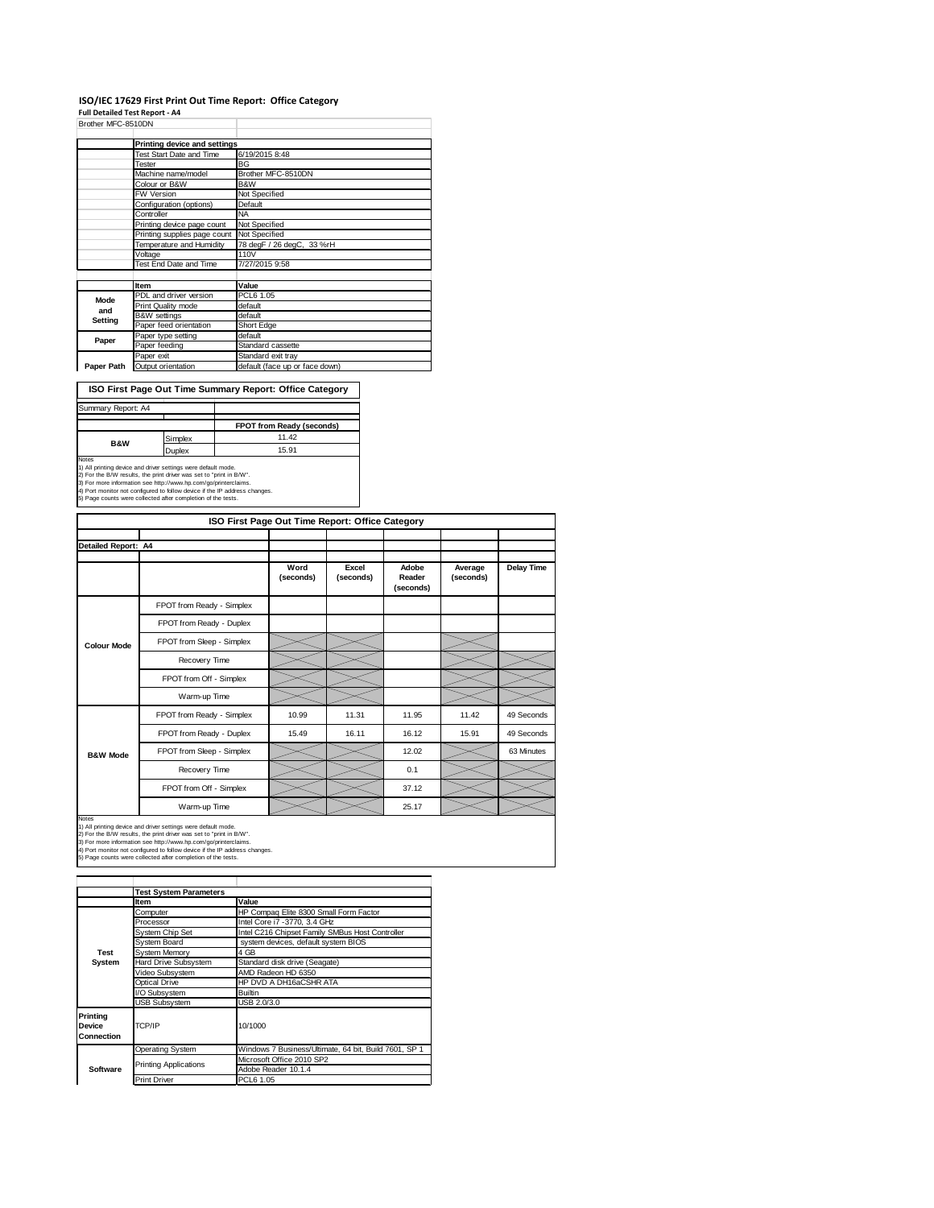#### **ISO/IEC 17629 First Print Out Time Report: Office Category**

**Full Detailed Test Report ‐ A4**

| Brother MFC-8510DN |                              |                                |  |  |  |
|--------------------|------------------------------|--------------------------------|--|--|--|
|                    | Printing device and settings |                                |  |  |  |
|                    | Test Start Date and Time     | 6/19/2015 8:48                 |  |  |  |
|                    | Tester                       | BG                             |  |  |  |
|                    | Machine name/model           | Brother MFC-8510DN             |  |  |  |
|                    | Colour or B&W                | B&W                            |  |  |  |
|                    | FW Version                   | Not Specified                  |  |  |  |
|                    | Configuration (options)      | Default                        |  |  |  |
|                    | Controller                   | <b>NA</b>                      |  |  |  |
|                    | Printing device page count   | Not Specified                  |  |  |  |
|                    | Printing supplies page count | Not Specified                  |  |  |  |
|                    | Temperature and Humidity     | 78 degF / 26 degC, 33 %rH      |  |  |  |
|                    | Voltage                      | 110V                           |  |  |  |
|                    | Test End Date and Time       | 7/27/2015 9:58                 |  |  |  |
|                    |                              |                                |  |  |  |
|                    | Item                         | Value                          |  |  |  |
| Mode               | PDL and driver version       | PCL6 1.05                      |  |  |  |
| and                | Print Quality mode           | default                        |  |  |  |
| Setting            | <b>B&amp;W</b> settings      | default                        |  |  |  |
|                    | Paper feed orientation       | Short Edge                     |  |  |  |
| Paper              | Paper type setting           | default                        |  |  |  |
|                    | Paper feeding                | Standard cassette              |  |  |  |
|                    | Paper exit                   | Standard exit tray             |  |  |  |
| Paper Path         | Output orientation           | default (face up or face down) |  |  |  |

**ISO First Page Out Time Summary Report: Office Category**

| Summary Report: A4 |         |                           |
|--------------------|---------|---------------------------|
|                    |         | FPOT from Ready (seconds) |
| <b>B&amp;W</b>     | Simplex | 11.42                     |
|                    | Duplex  | 15.91                     |
| <b>Notes</b>       |         |                           |

Notes<br>1) All printing device and driver settings were default mode.<br>2) For the B/W results, the print driver was set to "print in B/W".<br>3) For more information see http://www.hp.com/go/printerclaims.<br>4) Port monitor not co

|                            | ISO First Page Out Time Report: Office Category |                   |                    |                              |                      |                   |  |  |
|----------------------------|-------------------------------------------------|-------------------|--------------------|------------------------------|----------------------|-------------------|--|--|
|                            |                                                 |                   |                    |                              |                      |                   |  |  |
| <b>Detailed Report: A4</b> |                                                 |                   |                    |                              |                      |                   |  |  |
|                            |                                                 | Word<br>(seconds) | Excel<br>(seconds) | Adobe<br>Reader<br>(seconds) | Average<br>(seconds) | <b>Delay Time</b> |  |  |
|                            | FPOT from Ready - Simplex                       |                   |                    |                              |                      |                   |  |  |
|                            | FPOT from Ready - Duplex                        |                   |                    |                              |                      |                   |  |  |
| <b>Colour Mode</b>         | FPOT from Sleep - Simplex                       |                   |                    |                              |                      |                   |  |  |
|                            | Recovery Time                                   |                   |                    |                              |                      |                   |  |  |
|                            | FPOT from Off - Simplex                         |                   |                    |                              |                      |                   |  |  |
|                            | Warm-up Time                                    |                   |                    |                              |                      |                   |  |  |
|                            | FPOT from Ready - Simplex                       | 10.99             | 11.31              | 11.95                        | 11.42                | 49 Seconds        |  |  |
|                            | FPOT from Ready - Duplex                        | 15.49             | 16.11              | 16.12                        | 15.91                | 49 Seconds        |  |  |
| <b>B&amp;W Mode</b>        | FPOT from Sleep - Simplex                       |                   |                    | 12.02                        |                      | 63 Minutes        |  |  |
|                            | Recovery Time                                   |                   |                    | 0.1                          |                      |                   |  |  |
|                            | FPOT from Off - Simplex                         |                   |                    | 37.12                        |                      |                   |  |  |
|                            | Warm-up Time                                    |                   |                    | 25.17                        |                      |                   |  |  |

Notes<br>1) All printing device and driver settings were default mode.<br>2) For the B/W results, the print driver was set to "print in B/W".<br>3) For more information see http://www.hp.com/go/printerclaims.<br>4) Port monitor not co

|                                                | <b>Test System Parameters</b>                                      |                                                       |  |  |
|------------------------------------------------|--------------------------------------------------------------------|-------------------------------------------------------|--|--|
|                                                | Item                                                               | Value                                                 |  |  |
|                                                | Computer                                                           | HP Compaq Elite 8300 Small Form Factor                |  |  |
| <b>Test</b><br>System                          | Processor                                                          | Intel Core i7 -3770, 3.4 GHz                          |  |  |
|                                                | Intel C216 Chipset Family SMBus Host Controller<br>System Chip Set |                                                       |  |  |
|                                                | System Board                                                       | system devices, default system BIOS                   |  |  |
|                                                | <b>System Memory</b>                                               | 4 GB                                                  |  |  |
|                                                | Hard Drive Subsystem<br>Standard disk drive (Seagate)              |                                                       |  |  |
|                                                | Video Subsystem<br>AMD Radeon HD 6350                              |                                                       |  |  |
|                                                | Optical Drive                                                      | HP DVD A DH16aCSHR ATA                                |  |  |
|                                                | I/O Subsystem                                                      | <b>Builtin</b>                                        |  |  |
|                                                | <b>USB Subsystem</b>                                               | USB 2.0/3.0                                           |  |  |
| <b>Printing</b><br><b>Device</b><br>Connection | TCP/IP                                                             | 10/1000                                               |  |  |
|                                                | Operating System                                                   | Windows 7 Business/Ultimate, 64 bit, Build 7601, SP 1 |  |  |
|                                                | <b>Printing Applications</b>                                       | Microsoft Office 2010 SP2                             |  |  |
| Software                                       |                                                                    | Adobe Reader 10.1.4                                   |  |  |
|                                                | <b>Print Driver</b>                                                | PCL6 1.05                                             |  |  |
|                                                |                                                                    |                                                       |  |  |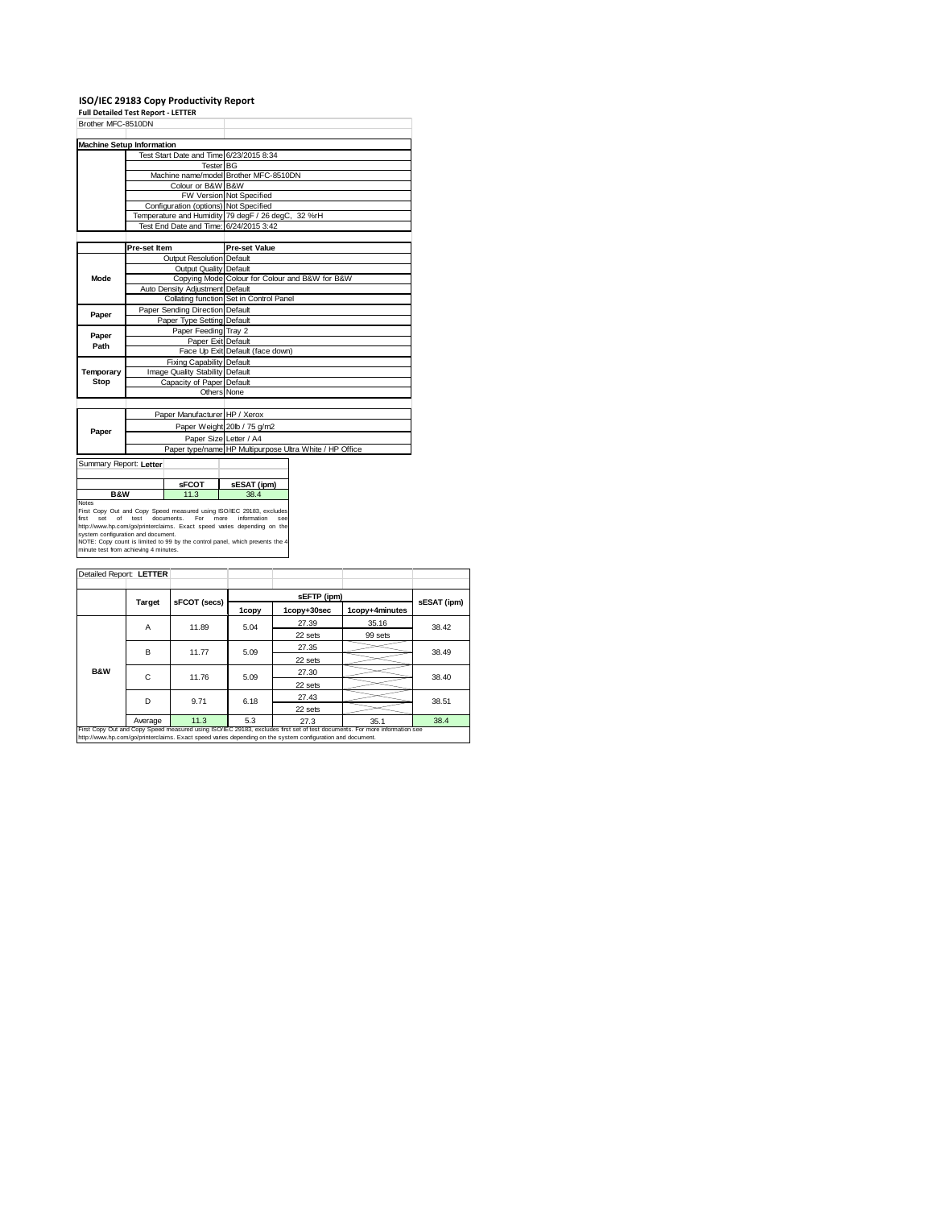# **ISO/IEC 29183 Copy Productivity Report Full Detailed Test Report ‐ LETTER**

| Brother MFC-8510DN                                                                                         |                                 |                                       |                                                                                                                                                                                                                                                               |  |  |
|------------------------------------------------------------------------------------------------------------|---------------------------------|---------------------------------------|---------------------------------------------------------------------------------------------------------------------------------------------------------------------------------------------------------------------------------------------------------------|--|--|
| <b>Machine Setup Information</b>                                                                           |                                 |                                       |                                                                                                                                                                                                                                                               |  |  |
|                                                                                                            |                                 |                                       | Test Start Date and Time 6/23/2015 8:34                                                                                                                                                                                                                       |  |  |
|                                                                                                            |                                 | <b>Tester BG</b>                      |                                                                                                                                                                                                                                                               |  |  |
|                                                                                                            |                                 |                                       | Machine name/model Brother MFC-8510DN                                                                                                                                                                                                                         |  |  |
|                                                                                                            |                                 | Colour or B&W B&W                     |                                                                                                                                                                                                                                                               |  |  |
|                                                                                                            |                                 |                                       | FW Version Not Specified                                                                                                                                                                                                                                      |  |  |
|                                                                                                            |                                 | Configuration (options) Not Specified |                                                                                                                                                                                                                                                               |  |  |
|                                                                                                            |                                 |                                       | Temperature and Humidity 79 degF / 26 degC, 32 %rH                                                                                                                                                                                                            |  |  |
|                                                                                                            |                                 |                                       | Test End Date and Time: 6/24/2015 3:42                                                                                                                                                                                                                        |  |  |
|                                                                                                            |                                 |                                       |                                                                                                                                                                                                                                                               |  |  |
|                                                                                                            | Pre-set Item                    |                                       | <b>Pre-set Value</b>                                                                                                                                                                                                                                          |  |  |
|                                                                                                            |                                 | Output Resolution Default             |                                                                                                                                                                                                                                                               |  |  |
|                                                                                                            |                                 | Output Quality Default                |                                                                                                                                                                                                                                                               |  |  |
| Mode                                                                                                       |                                 |                                       | Copying Mode Colour for Colour and B&W for B&W                                                                                                                                                                                                                |  |  |
|                                                                                                            |                                 | Auto Density Adjustment Default       |                                                                                                                                                                                                                                                               |  |  |
|                                                                                                            |                                 |                                       | Collating function Set in Control Panel                                                                                                                                                                                                                       |  |  |
| Paper                                                                                                      |                                 | Paper Sending Direction Default       |                                                                                                                                                                                                                                                               |  |  |
|                                                                                                            |                                 | Paper Type Setting Default            |                                                                                                                                                                                                                                                               |  |  |
| Paper                                                                                                      |                                 | Paper Feeding Tray 2                  |                                                                                                                                                                                                                                                               |  |  |
| Path                                                                                                       |                                 | Paper Exit Default                    |                                                                                                                                                                                                                                                               |  |  |
|                                                                                                            |                                 |                                       | Face Up Exit Default (face down)                                                                                                                                                                                                                              |  |  |
|                                                                                                            |                                 | Fixing Capability Default             |                                                                                                                                                                                                                                                               |  |  |
| Temporary                                                                                                  | Image Quality Stability Default |                                       |                                                                                                                                                                                                                                                               |  |  |
| Stop                                                                                                       | Capacity of Paper Default       |                                       |                                                                                                                                                                                                                                                               |  |  |
|                                                                                                            |                                 |                                       | Others None                                                                                                                                                                                                                                                   |  |  |
|                                                                                                            |                                 |                                       |                                                                                                                                                                                                                                                               |  |  |
|                                                                                                            |                                 | Paper Manufacturer HP / Xerox         |                                                                                                                                                                                                                                                               |  |  |
| Paper                                                                                                      |                                 |                                       | Paper Weight 20lb / 75 g/m2                                                                                                                                                                                                                                   |  |  |
|                                                                                                            |                                 |                                       | Paper Size Letter / A4                                                                                                                                                                                                                                        |  |  |
|                                                                                                            |                                 |                                       | Paper type/name HP Multipurpose Ultra White / HP Office                                                                                                                                                                                                       |  |  |
| Summary Report: Letter                                                                                     |                                 |                                       |                                                                                                                                                                                                                                                               |  |  |
|                                                                                                            |                                 |                                       |                                                                                                                                                                                                                                                               |  |  |
|                                                                                                            | <b>SFCOT</b>                    |                                       | sESAT (ipm)                                                                                                                                                                                                                                                   |  |  |
| B&W                                                                                                        |                                 | 11.3                                  | 38.4                                                                                                                                                                                                                                                          |  |  |
| Notes<br>Set<br>of<br>first<br>system configuration and document.<br>minute test from achieving 4 minutes. | test                            | For<br>documents.                     | First Copy Out and Copy Speed measured using ISO/IEC 29183, excludes<br>more<br>information<br>SAR<br>http://www.hp.com/go/printerclaims. Exact speed varies depending on the<br>NOTE: Copy count is limited to 99 by the control panel, which prevents the 4 |  |  |

| Detailed Report: LETTER                                                                                                                                                                                                                  |         |              |                          |             |                |             |  |
|------------------------------------------------------------------------------------------------------------------------------------------------------------------------------------------------------------------------------------------|---------|--------------|--------------------------|-------------|----------------|-------------|--|
|                                                                                                                                                                                                                                          |         |              |                          |             |                |             |  |
|                                                                                                                                                                                                                                          | Target  | sFCOT (secs) |                          | sEFTP (ipm) |                | sESAT (ipm) |  |
|                                                                                                                                                                                                                                          |         |              | 1copy+30sec<br>1copy     |             | 1copy+4minutes |             |  |
|                                                                                                                                                                                                                                          | Α       | 11.89        | 5.04                     | 27.39       | 35.16          | 38.42       |  |
|                                                                                                                                                                                                                                          |         |              |                          | 22 sets     | 99 sets        |             |  |
|                                                                                                                                                                                                                                          | B       | 11.77        | 27.35<br>5.09<br>22 sets |             |                | 38.49       |  |
|                                                                                                                                                                                                                                          |         |              |                          |             |                |             |  |
| <b>B&amp;W</b>                                                                                                                                                                                                                           | C       | 11.76        | 5.09                     | 27.30       |                | 38.40       |  |
|                                                                                                                                                                                                                                          |         |              |                          | 22 sets     |                |             |  |
|                                                                                                                                                                                                                                          | D       | 9.71         | 6.18                     | 27.43       |                | 38.51       |  |
|                                                                                                                                                                                                                                          |         |              |                          | 22 sets     |                |             |  |
|                                                                                                                                                                                                                                          | Average | 11.3         | 5.3                      | 27.3        | 35.1           | 38.4        |  |
| First Copy Out and Copy Speed measured using ISO/IEC 29183, excludes first set of test documents. For more information see<br>http://www.hp.com/go/printerclaims. Exact speed varies depending on the system configuration and document. |         |              |                          |             |                |             |  |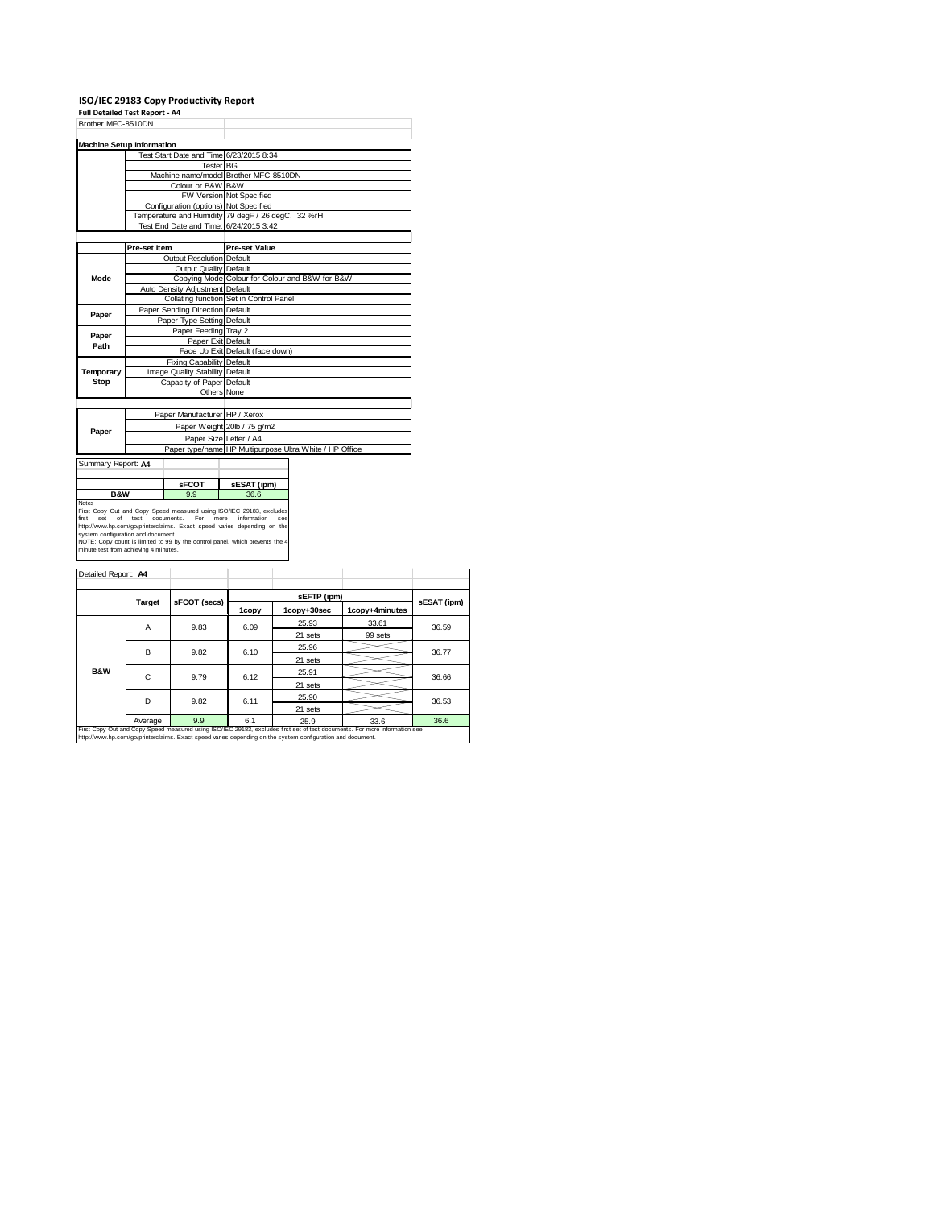**ISO/IEC 29183 Copy Productivity Report Full Detailed Test Report ‐ A4**

| Brother MFC-8510DN                                                                                                                                                                                                                                                                                                                                                                                       |                                 |                                 |                                                    |                                                         |  |  |  |
|----------------------------------------------------------------------------------------------------------------------------------------------------------------------------------------------------------------------------------------------------------------------------------------------------------------------------------------------------------------------------------------------------------|---------------------------------|---------------------------------|----------------------------------------------------|---------------------------------------------------------|--|--|--|
|                                                                                                                                                                                                                                                                                                                                                                                                          |                                 |                                 |                                                    |                                                         |  |  |  |
| <b>Machine Setup Information</b>                                                                                                                                                                                                                                                                                                                                                                         |                                 |                                 |                                                    |                                                         |  |  |  |
|                                                                                                                                                                                                                                                                                                                                                                                                          |                                 |                                 | Test Start Date and Time 6/23/2015 8:34            |                                                         |  |  |  |
|                                                                                                                                                                                                                                                                                                                                                                                                          |                                 |                                 | <b>Tester BG</b>                                   |                                                         |  |  |  |
|                                                                                                                                                                                                                                                                                                                                                                                                          |                                 |                                 | Machine name/model Brother MFC-8510DN              |                                                         |  |  |  |
|                                                                                                                                                                                                                                                                                                                                                                                                          |                                 | Colour or B&W B&W               |                                                    |                                                         |  |  |  |
|                                                                                                                                                                                                                                                                                                                                                                                                          |                                 |                                 | FW Version Not Specified                           |                                                         |  |  |  |
|                                                                                                                                                                                                                                                                                                                                                                                                          |                                 |                                 | Configuration (options) Not Specified              |                                                         |  |  |  |
|                                                                                                                                                                                                                                                                                                                                                                                                          |                                 |                                 | Temperature and Humidity 79 degF / 26 degC, 32 %rH |                                                         |  |  |  |
|                                                                                                                                                                                                                                                                                                                                                                                                          |                                 |                                 | Test End Date and Time: 6/24/2015 3:42             |                                                         |  |  |  |
|                                                                                                                                                                                                                                                                                                                                                                                                          |                                 |                                 |                                                    |                                                         |  |  |  |
|                                                                                                                                                                                                                                                                                                                                                                                                          | Pre-set Item                    |                                 | <b>Pre-set Value</b>                               |                                                         |  |  |  |
|                                                                                                                                                                                                                                                                                                                                                                                                          |                                 | Output Resolution Default       |                                                    |                                                         |  |  |  |
|                                                                                                                                                                                                                                                                                                                                                                                                          |                                 | Output Quality Default          |                                                    |                                                         |  |  |  |
| Mode                                                                                                                                                                                                                                                                                                                                                                                                     |                                 |                                 |                                                    | Copying Mode Colour for Colour and B&W for B&W          |  |  |  |
|                                                                                                                                                                                                                                                                                                                                                                                                          |                                 | Auto Density Adjustment Default |                                                    |                                                         |  |  |  |
|                                                                                                                                                                                                                                                                                                                                                                                                          |                                 |                                 | Collating function Set in Control Panel            |                                                         |  |  |  |
|                                                                                                                                                                                                                                                                                                                                                                                                          |                                 | Paper Sending Direction Default |                                                    |                                                         |  |  |  |
| Paper                                                                                                                                                                                                                                                                                                                                                                                                    |                                 | Paper Type Setting Default      |                                                    |                                                         |  |  |  |
|                                                                                                                                                                                                                                                                                                                                                                                                          |                                 | Paper Feeding Tray 2            |                                                    |                                                         |  |  |  |
| Paper                                                                                                                                                                                                                                                                                                                                                                                                    | Paper Exit Default              |                                 |                                                    |                                                         |  |  |  |
| Path                                                                                                                                                                                                                                                                                                                                                                                                     |                                 |                                 | Face Up Exit Default (face down)                   |                                                         |  |  |  |
|                                                                                                                                                                                                                                                                                                                                                                                                          |                                 | Fixing Capability Default       |                                                    |                                                         |  |  |  |
| Temporary                                                                                                                                                                                                                                                                                                                                                                                                | Image Quality Stability Default |                                 |                                                    |                                                         |  |  |  |
| Stop                                                                                                                                                                                                                                                                                                                                                                                                     | Capacity of Paper Default       |                                 |                                                    |                                                         |  |  |  |
|                                                                                                                                                                                                                                                                                                                                                                                                          |                                 |                                 | Others None                                        |                                                         |  |  |  |
|                                                                                                                                                                                                                                                                                                                                                                                                          |                                 |                                 |                                                    |                                                         |  |  |  |
|                                                                                                                                                                                                                                                                                                                                                                                                          |                                 | Paper Manufacturer HP / Xerox   |                                                    |                                                         |  |  |  |
|                                                                                                                                                                                                                                                                                                                                                                                                          |                                 |                                 |                                                    |                                                         |  |  |  |
| Paper                                                                                                                                                                                                                                                                                                                                                                                                    |                                 |                                 | Paper Weight 20lb / 75 g/m2                        |                                                         |  |  |  |
|                                                                                                                                                                                                                                                                                                                                                                                                          |                                 |                                 | Paper Size Letter / A4                             |                                                         |  |  |  |
|                                                                                                                                                                                                                                                                                                                                                                                                          |                                 |                                 |                                                    | Paper type/name HP Multipurpose Ultra White / HP Office |  |  |  |
| Summary Report: A4                                                                                                                                                                                                                                                                                                                                                                                       |                                 |                                 |                                                    |                                                         |  |  |  |
|                                                                                                                                                                                                                                                                                                                                                                                                          |                                 |                                 |                                                    |                                                         |  |  |  |
|                                                                                                                                                                                                                                                                                                                                                                                                          |                                 | <b>sFCOT</b>                    | sESAT (ipm)                                        |                                                         |  |  |  |
| <b>B&amp;W</b><br>9.9                                                                                                                                                                                                                                                                                                                                                                                    |                                 | 36.6                            |                                                    |                                                         |  |  |  |
| Notes<br>First Copy Out and Copy Speed measured using ISO/IEC 29183, excludes<br>For<br>first<br>Set<br>of<br>test<br>documents.<br>more<br>information<br>SAA<br>http://www.hp.com/go/printerclaims. Exact speed varies depending on the<br>system configuration and document.<br>NOTE: Copy count is limited to 99 by the control panel, which prevents the 4<br>minute test from achieving 4 minutes. |                                 |                                 |                                                    |                                                         |  |  |  |
| Detailed Report: A4                                                                                                                                                                                                                                                                                                                                                                                      |                                 |                                 |                                                    |                                                         |  |  |  |
|                                                                                                                                                                                                                                                                                                                                                                                                          |                                 |                                 |                                                    |                                                         |  |  |  |

|                                                                                                                                                                                                                                          | Target  | sFCOT (secs) | 1copy | 1copy+30sec | 1copy+4minutes | sESAT (ipm) |  |
|------------------------------------------------------------------------------------------------------------------------------------------------------------------------------------------------------------------------------------------|---------|--------------|-------|-------------|----------------|-------------|--|
|                                                                                                                                                                                                                                          | Α       | 9.83         | 6.09  | 25.93       | 33.61          | 36.59       |  |
|                                                                                                                                                                                                                                          |         |              |       | 21 sets     | 99 sets        |             |  |
|                                                                                                                                                                                                                                          | в       | 9.82         | 6.10  | 25.96       |                | 36.77       |  |
|                                                                                                                                                                                                                                          |         |              |       | 21 sets     |                |             |  |
| <b>B&amp;W</b>                                                                                                                                                                                                                           | C       | 9.79         | 6.12  | 25.91       |                | 36.66       |  |
|                                                                                                                                                                                                                                          |         |              |       | 21 sets     |                |             |  |
|                                                                                                                                                                                                                                          | D       | 9.82         | 6.11  | 25.90       |                | 36.53       |  |
|                                                                                                                                                                                                                                          |         |              |       | 21 sets     |                |             |  |
|                                                                                                                                                                                                                                          | Average | 9.9          | 6.1   | 25.9        | 33.6           | 36.6        |  |
| First Copy Out and Copy Speed measured using ISO/IEC 29183, excludes first set of test documents. For more information see<br>http://www.hp.com/go/printerclaims. Exact speed varies depending on the system configuration and document. |         |              |       |             |                |             |  |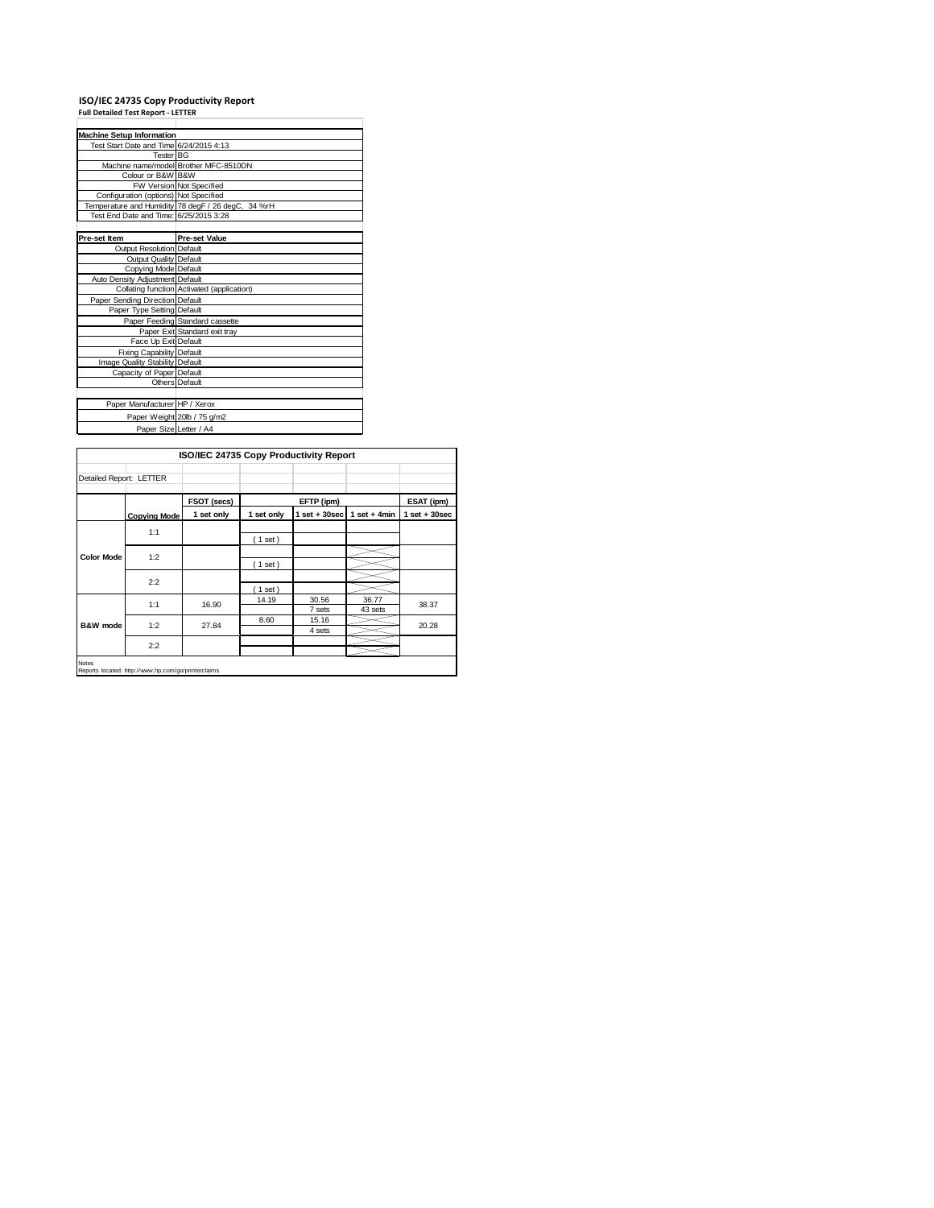# **ISO/IEC 24735 Copy Productivity Report Full Detailed Test Report ‐ LETTER**

| <b>Machine Setup Information</b>        |                                                    |  |  |  |  |
|-----------------------------------------|----------------------------------------------------|--|--|--|--|
| Test Start Date and Time 6/24/2015 4:13 |                                                    |  |  |  |  |
| Tester BG                               |                                                    |  |  |  |  |
|                                         | Machine name/model Brother MFC-8510DN              |  |  |  |  |
| Colour or B&W B&W                       |                                                    |  |  |  |  |
|                                         | FW Version Not Specified                           |  |  |  |  |
| Configuration (options) Not Specified   |                                                    |  |  |  |  |
|                                         | Temperature and Humidity 78 degF / 26 degC, 34 %rH |  |  |  |  |
| Test End Date and Time: 6/25/2015 3:28  |                                                    |  |  |  |  |
|                                         |                                                    |  |  |  |  |
| <b>Pre-set Item</b>                     | <b>Pre-set Value</b>                               |  |  |  |  |
| Output Resolution Default               |                                                    |  |  |  |  |
| Output Quality Default                  |                                                    |  |  |  |  |
| Copying Mode Default                    |                                                    |  |  |  |  |
| Auto Density Adjustment Default         |                                                    |  |  |  |  |
|                                         | Collating function Activated (application)         |  |  |  |  |
| Paper Sending Direction Default         |                                                    |  |  |  |  |
| Paper Type Setting Default              |                                                    |  |  |  |  |
|                                         | Paper Feeding Standard cassette                    |  |  |  |  |
|                                         | Paper Exit Standard exit tray                      |  |  |  |  |
| Face Up Exit Default                    |                                                    |  |  |  |  |
| <b>Fixing Capability Default</b>        |                                                    |  |  |  |  |
| Image Quality Stability Default         |                                                    |  |  |  |  |
| Capacity of Paper Default               |                                                    |  |  |  |  |
|                                         | Others Default                                     |  |  |  |  |
|                                         |                                                    |  |  |  |  |
| Paper Manufacturer HP / Xerox           |                                                    |  |  |  |  |
|                                         | Paper Weight 20lb / 75 g/m2                        |  |  |  |  |
| Paper Size Letter / A4                  |                                                    |  |  |  |  |

| ISO/IEC 24735 Copy Productivity Report |                                                     |             |            |                   |                  |                   |
|----------------------------------------|-----------------------------------------------------|-------------|------------|-------------------|------------------|-------------------|
| Detailed Report: LETTER                |                                                     |             |            |                   |                  |                   |
|                                        |                                                     | FSOT (secs) |            | EFTP (ipm)        |                  | ESAT (ipm)        |
|                                        | <b>Copying Mode</b>                                 | 1 set only  | 1 set only | $1$ set $+30$ sec | $1$ set + 4min   | $1$ set $+30$ sec |
|                                        | 1:1                                                 |             | (1 set)    |                   |                  |                   |
| <b>Color Mode</b>                      | 1:2                                                 |             | (1 set)    |                   |                  |                   |
|                                        | 2:2                                                 |             | (1 set)    |                   |                  |                   |
| B&W mode                               | 1:1                                                 | 16.90       | 14.19      | 30.56<br>7 sets   | 36.77<br>43 sets | 38.37             |
|                                        | 1:2                                                 | 27.84       | 8.60       | 15.16<br>4 sets   |                  | 20.28             |
|                                        | 2:2                                                 |             |            |                   |                  |                   |
| <b>Notes</b>                           | Reports located: http://www.hp.com/go/printerclaims |             |            |                   |                  |                   |